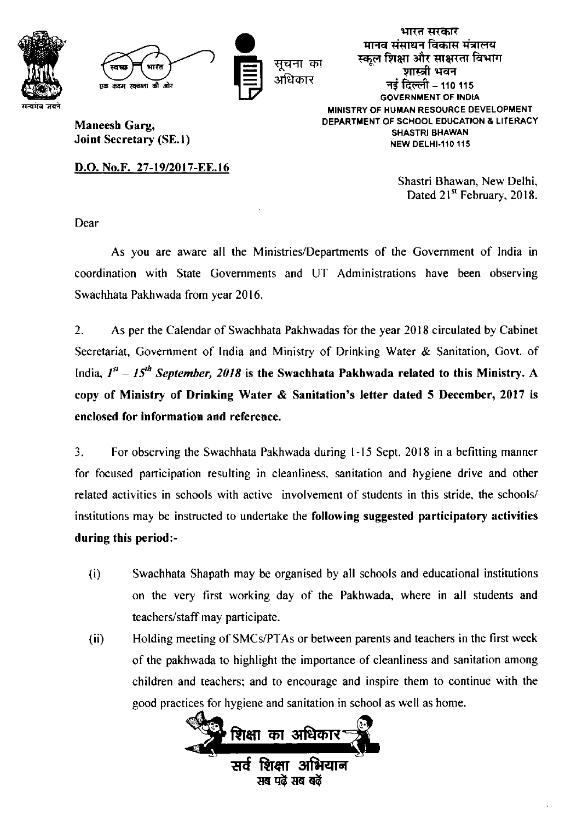



सूचना का अधिकार

Maneesh Garg, Joint Secretary (SE.l)

भारत सरकार मानव संसाधन विकास मंत्रालय स्कूल शिक्षा और साक्षरता विभाग<br>- शास्त्री भवन नई दिल्ली – 110 115 GOVERNMENT OF INDIA MINISTRY OF HUMAN RESOURCE DEVELOPMENT DEPARTMENT OF SCHOOL EDUCATION & LITERACY SHASTRI BHAWAN **NEW DELHI-110 115** 

D.O. No.F. 27-19/2017-EE.16

Shastri Bhawan, New Delhi, Dated 21<sup>st</sup> February, 2018.

Dear

As you are aware all the Ministries/Departments of the Government of India in coordination with State Govemments and UT Administrations have been observing Swachhata Pakhwada from year 20 16.

2. As per the Calendar of Swachhata Pakhwadas for the year 2018 circulated by Cabinet Secretariat, Government of India and Ministry of Drinking Water & Sanitation, Govt. of India.  $I^{st} - I5^{th}$  September, 2018 is the Swachhata Pakhwada related to this Ministry. A copy of Ministry of Drinking Water & Sanitation's letter dated 5 December, 2017 is enclosed for information and reference.

3. For observing the Swachhata Pakhwada during l-15 Sept. 2018 in a befitting manner for focused participation resulting in cleanliness, sanitation and hygiene drive and other related activities in schools with active involvement of students in this stride. the schools/ institutions may be instructed to undertake the following suggested participatory activities during this period:-

- (i) Swachhata Shapath may be organised by all schools and educational institutions on the very first working day of the Pakhwada, where in all students and teachers/staff may participate.
- Holding meeting of SMCs/PTAs or between parents and teachers in the first week of the pakhwada to highlight the importance of cleanliness and sanitation among children and teachers; and to encourage and inspire them to continue with the good practices for hygiene and sanitation in school as well as home. ( ii)

<u>शिक्षा का अधिकार</u> सर्व शिक्षा अभियान सब पढें सब बढें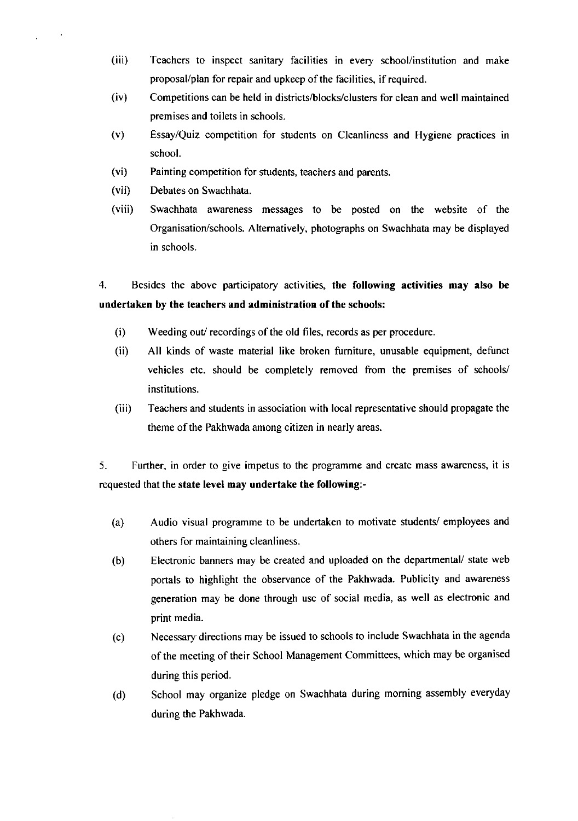- $(iii)$ Teachers to inspect sanitary facilities in every school/institution and make proposal/plan for repair and upkeep of the facilities, if required.
- (iv) Competitions can be held in districts/blocks/clusters for clean and well maintained premises and toilets in schools.
- (v) EssayiQuiz competition for students on Cleanliness and Hygiene practices in school.
- Painting competition for students, teachers and parents. (vi)
- Debates on Swachhata. (vii)

 $\ddot{\phantom{a}}$ 

Swachhata awareness messages to be posted on the website of the Organisation/schools. Altematively, photographs on Swachhata may be displayed in schools. (viii)

4. Besides the above participatory activities, the following activities may also be undertaken by the teachers and administration of the schools:

- (i) Weeding out/ recordings of the old files, records as per procedure.
- $(ii)$ All kinds of waste material like broken fumiture, unusable equipment, defunct vehicles etc. should be completely removed from the premises of schools/ institutions.
- (iii) Teachers and students in association with local representative should propagate the theme of the Pakhwada among citizen in nearly areas.

5. Further, in order to give impetus to the programme and create mass awareness, it is requested that the state level may undertake the following:-

- (a) Audio visual programme to be undertaken to motivate students/employees and others for maintaining cleanliness.
- Electronic banners may be created and uploaded on the departmental/ state web portals to highlight the observance of the Pakhwada. Publicity and awareness generation may be done through use of social media, as well as electronic and print media. (b)
- Necessary directions may be issued to schools to include Swachhata in the agenda of the meeting of their School Management Committees, which may be organised during this period. (c)
- School may organize pledge on Swachhata during moming assembly everyday during the Pakhwada. (d)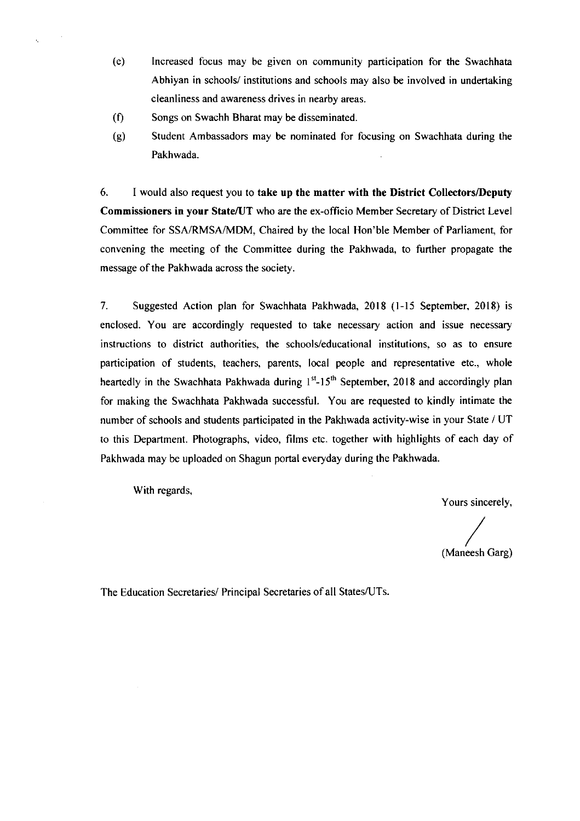- (e) Increased focus may be given on community participation for the Swachhata Abhiyan in schools/ institutions and schools may also be involved in undertaking cleanliness and awareness drives in nearby areas.
- $(f)$ Songs on Swachh Bharat may be disseminated.
- (g) Student Ambassadors may be nominated for focusing on Swachhata during the Pakhwada.

6. <sup>I</sup>would also request you to take up the matter with the District Collectors/Deputy Commissioners in your State/UT who are the ex-officio Member Secretary of District Level Committee for SSA/RMSA/MDM, Chaired by the local Hon'ble Member of Parliament, for convening the meeting of the Committee during the Pakhwada, to further propagate the message of the Pakhwada across the society.

7. Suggested Action plan for Swachhata Pakhwada, 2018 (l-15 September, 2018) is enclosed. You are accordingly requested to take necessary action and issue necessary instructions to district authorities, the schools/educational institutions, so as to ensure participation of students, teachers, parents, local people and representative etc., whole heartedly in the Swachhata Pakhwada during  $1<sup>st</sup>$ -15<sup>th</sup> September, 2018 and accordingly plan for making the Swachhata Pakhwada successful. You are requested to kindly intimate the number of schools and students participated in the Pakhwada activity-wise in your State / UT to this Department. Photographs, video, films etc. together with highlights of each day of Pakhwada may be uploaded on Shagun portal everyday during the Pakhwada.

With regards,

Yours sincerely,

(Maneesh Garg)

The Education Secretaries/ Principal Secretaries of all States/UTs.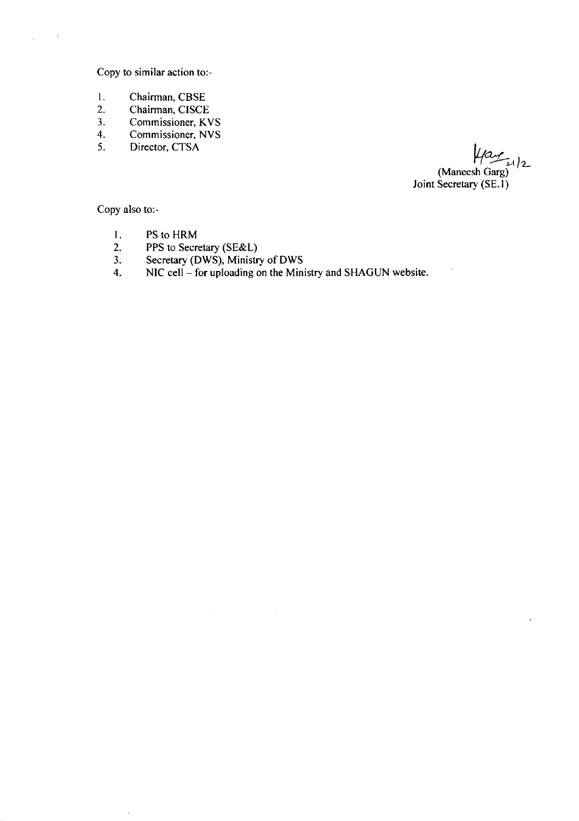Copy to similar action to:-

- I Chairman, CBSE
- 2 Chairman, CISCE
- 3 Commissioner, KVS
- 4 Commissioner, NVS
- 5 Director, CTSA

 $\mu$ ay  $_{1/2}$ (Maneesh Garg) Joint Secretary (SE.1)

Copy also to:-

J.

- $\mathbf{I}$ . PS to HRM
- 2. PPS to Secretary (SE&L)
- $3<sub>1</sub>$ Secretary (DWS), Ministry of DWS
- 4 NIC cell - for uploading on the Ministry and SHAGUN website.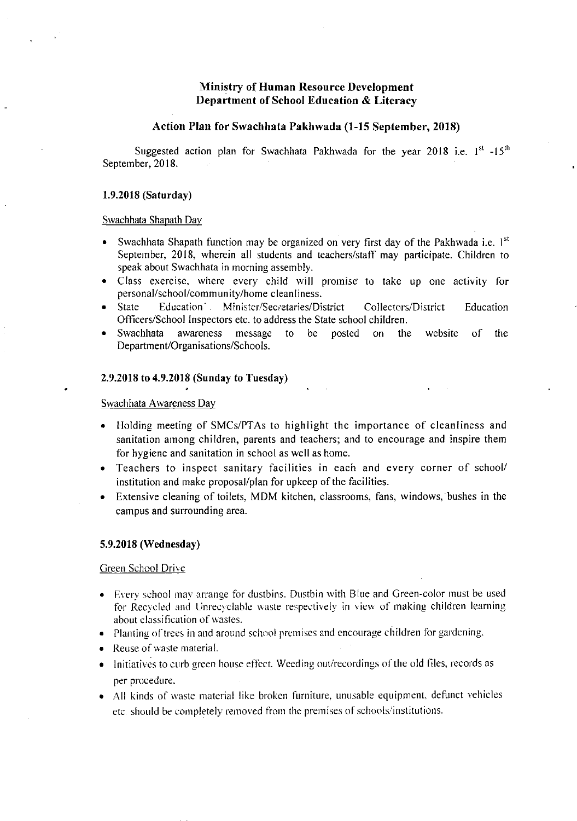# Ministry of Human Resource Development Department of School Education & Literacy

## Action Plan for Swachhata Pakhwada (l-15 September, 2018)

Suggested action plan for Swachhata Pakhwada for the year 2018 i.e.  $1<sup>st</sup> -15<sup>th</sup>$ September, 2018.

#### 1.9.2018 (Saturday)

# Swachhata Shapath Day

- Swachhata Shapath function may be organized on very first day of the Pakhwada i.e.  $I^{st}$ September, 2018, wherein all students and teachers/staff may participate. Children to speak about Swachhata in morning assembly.
- Class exercise, where every child will promise to take up one activity for personal/school/community/home cleanliness.
- State Education Minister/Secretaries/District Collectors/District Education Officers/School Inspectors etc. to address the State school children.
- Swachhata awareness message to be posted on the website of the Department/Organisations/Schools.

# 2.9.2018 to 4.9.2018 (Sunday to Tuesday)

#### Swachhata Awareness Day

- Holding meeting of SMCs/PTAs to highlight the importance of cleanliness and sanitation among children, parents and teachers; and to encourage and inspire them for hygiene and sanitation in school as well as home.
- Teachers to inspect sanitary facilities in each and every corner of school/ institution and make proposal/plan for upkeep of the facilities.
- Extensive cleaning of toilets, MDM kitchen, classrooms, fans, windows, bushes in the campus and surrounding area.

#### 5.9.2018 (Wednesday)

#### Creen School Drive

- Every school may arrange for dustbins. Dustbin with Blue and Green-color must be used for Recveled and Unrecyclable waste respectively in view of making children learning about classification of wastes.
- . Planting of trees in and around school premises and encourage children for gardening.
- $\bullet$  Reuse of waste material.
- Initiatives to curb green house effect. Weeding out/recordings of the old files, records as per procedure.
- All kinds of waste material like broken furniture, unusable equipment, defunct vehicles etc. should be completely removed from the premises of schools/institutions.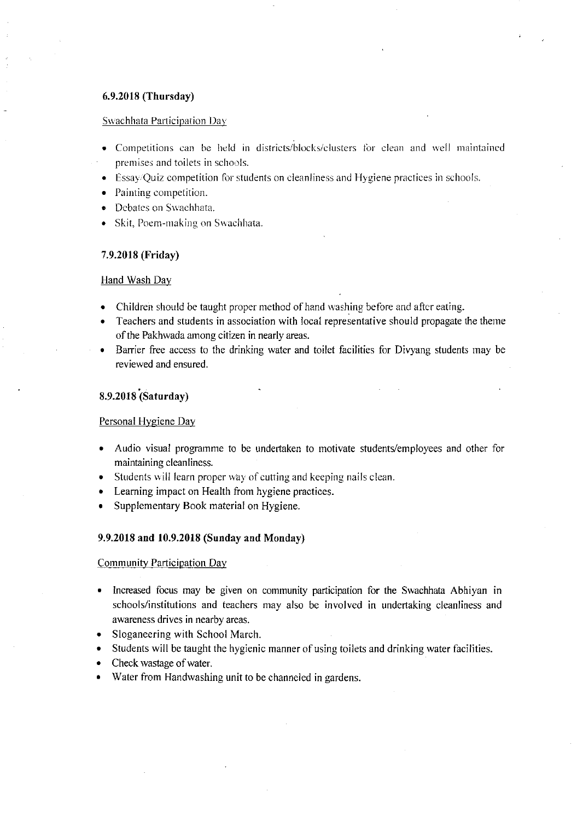# 6.9.2018 (Thursday)

#### Swachhata Participation Day

- Competitions can be held in districts/blocks/clusters for clean and well maintained premises and toilets in schools.
- $\bullet$  Essay/Quiz competition for students on cleanliness and Hygiene practices in schools.
- $\bullet$  Painting competition.
- Debates on Swachhata.
- Skit. Poem-making on Swachhata.

# 7.9.2018 (Friday)

# Hand Wash Dav

- Children should be taught proper method of hand washing before and after eating.
- Teachers and students in association with local representative should propagate the theme of the Pakhwada among citizen in nearly areas.
- Barrier free access to the drinking water and toilet facilities for Divyang students may be reviewed and ensured.

# 8.9.2018 (Saturday)

#### Personal Hygiene Day

- Audio visual programme to be undertaken to motivate students/employees and other for maintaining cleanliness.
- Students will learn proper way of cutting and keeping nails clean.
- . Learning impact on Health from hygiene practices.
- . Supplementary Book material on Hygiene.

## 9.9.2018 and 10.9.2018 (Sunday and Monday)

Community Participation Day

- Increased focus may be given on community participation for the Swachhata Abhiyan in schools/institutions and teachers may also be involved in undertaking cleanliness and awareness drives in nearby areas.
- . Sloganeering with School March.
- Students will be taught the hygienic manner of using toilets and drinking water facilities.
- Check wastage of water.
- Water from Handwashing unit to be channeled in gardens.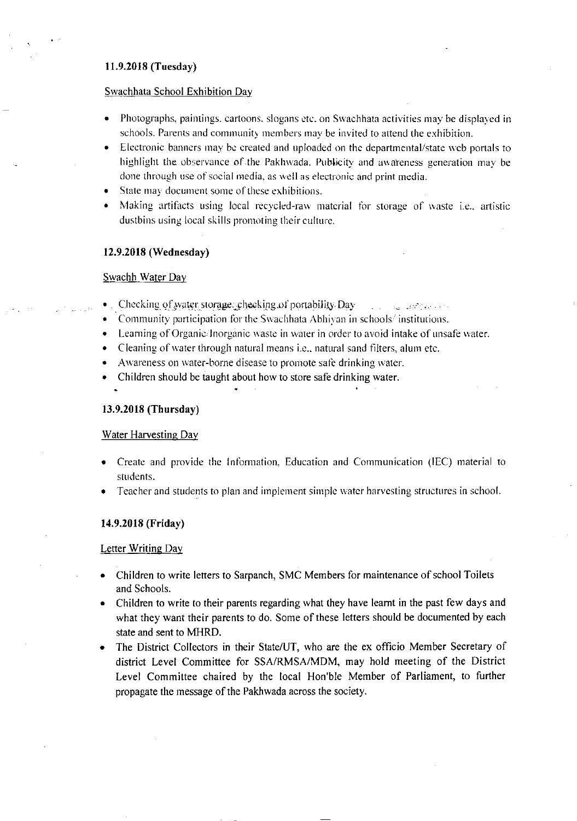# I1.9.2018 (Tuesday)

## Swachhata School Exhibition Day

- . Photographs, paintings. cartoons. slogans etc. on Swachhata activities may be displayed in schools. Parents and community members may be invited to attend the exhibition.
- Electronic banners may be created and uploaded on the departmental/state web portals to highlight the observance of the Pakhwada. Publicity and awareness generation may be done through use of social media, as well as electronic and print media.
- State may document some of these exhibitions.
- Making artifacts using local recycled-raw material for storage of waste i.e., artistic dustbins using local skills promoting their culture.

### 12.9.2018 (Wednesday)

# Swachh Water Day

- Checking of water storage: checking of portability Day  $\qquad \qquad$  ... ... ... ... ...
- Community participation for the Swachhata Abhivan in schools/ institutions.
- Learning of Organic/Inorganic waste in water in order to avoid intake of unsafe water.
- Cleaning of water through natural means i.e., natural sand filters, alum etc.
- Awareness on water-borne disease to promote safe drinking water.
- $\bullet$  Children should be taught about how to store safe drinking water.

# 13.9.2018 (Thursday)

# Water Harvesting Dav

- Create and provide the Information, Education and Communication (IEC) material to students.
- Teacher and students to plan and implement simple water harvesting structures in school. a

### 14.9.2018 (Friday)

### Letter Writing Day

- Children to write letters to Sarpanch, SMC Members for maintenance of school Toilets and Schools.
- Children to write to their parents regarding rvhat they have leamt in the past few days and what they want their parents to do. Some of these letters should be documented by each state and sent to MHRD.
- The District Collectors in their State/UT, who are the ex officio Member Secretary of district Level Committee for SSA/RMSA/MDM, may hold meeting of the District Level Committee chaired by the local Hon'ble Member of Parliament, to further propagate the message of the Pakhwada across the society.